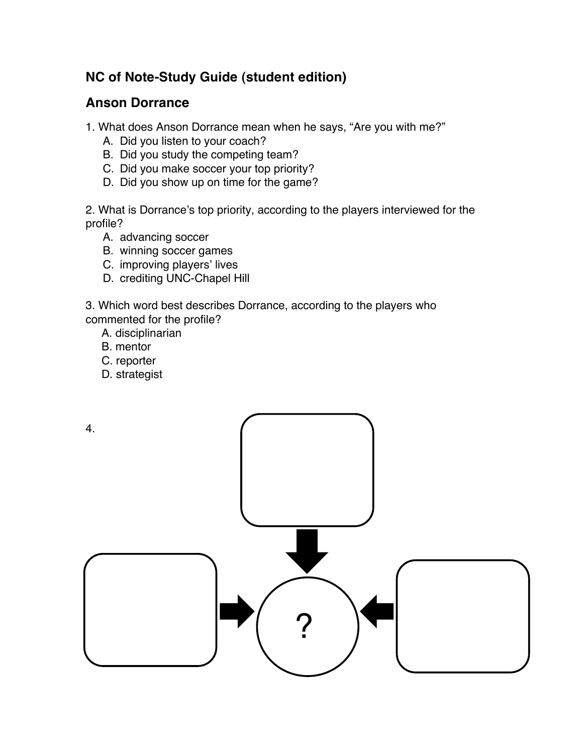## **NC of Note-Study Guide (student edition)**

## **Anson Dorrance**

1. What does Anson Dorrance mean when he says, "Are you with me?"

- A. Did you listen to your coach?
- B. Did you study the competing team?
- C. Did you make soccer your top priority?
- D. Did you show up on time for the game?

2. What is Dorrance's top priority, according to the players interviewed for the profile?

- A. advancing soccer
- B. winning soccer games
- C. improving players' lives
- D. crediting UNC-Chapel Hill

3. Which word best describes Dorrance, according to the players who commented for the profile?

- A. disciplinarian
- B. mentor
- C. reporter
- D. strategist

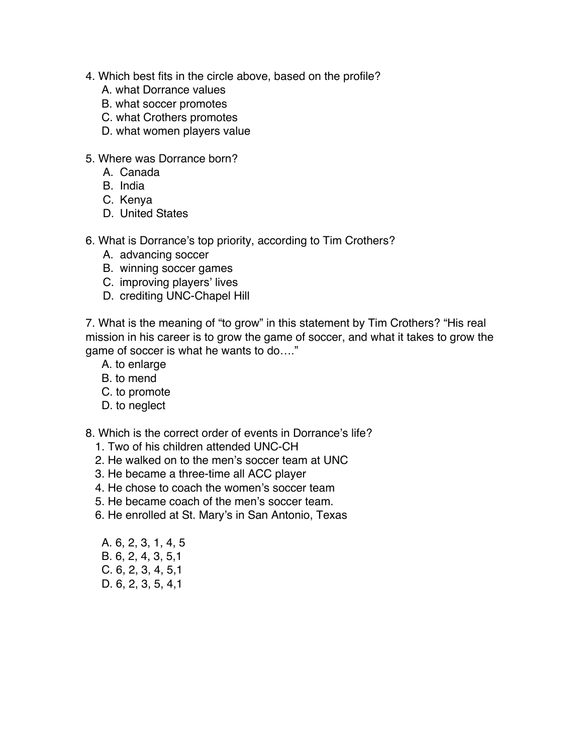- 4. Which best fits in the circle above, based on the profile?
	- A. what Dorrance values
	- B. what soccer promotes
	- C. what Crothers promotes
	- D. what women players value
- 5. Where was Dorrance born?
	- A. Canada
	- B. India
	- C. Kenya
	- D. United States
- 6. What is Dorrance's top priority, according to Tim Crothers?
	- A. advancing soccer
	- B. winning soccer games
	- C. improving players' lives
	- D. crediting UNC-Chapel Hill

7. What is the meaning of "to grow" in this statement by Tim Crothers? "His real mission in his career is to grow the game of soccer, and what it takes to grow the game of soccer is what he wants to do…."

- A. to enlarge
- B. to mend
- C. to promote
- D. to neglect

8. Which is the correct order of events in Dorrance's life?

- 1. Two of his children attended UNC-CH
- 2. He walked on to the men's soccer team at UNC
- 3. He became a three-time all ACC player
- 4. He chose to coach the women's soccer team
- 5. He became coach of the men's soccer team.
- 6. He enrolled at St. Mary's in San Antonio, Texas
- A. 6, 2, 3, 1, 4, 5 B. 6, 2, 4, 3, 5,1 C. 6, 2, 3, 4, 5,1 D. 6, 2, 3, 5, 4,1